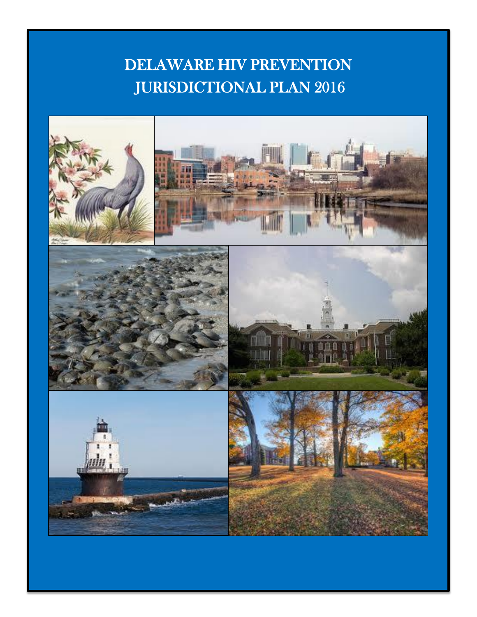# DELAWARE HIV PREVENTION JURISDICTIONAL PLAN 2016

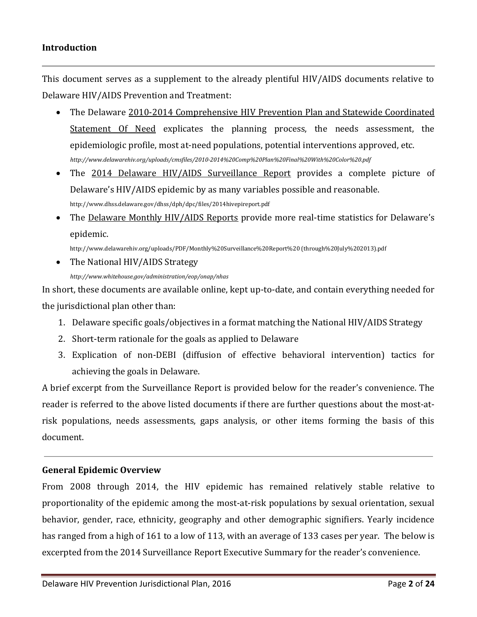#### **Introduction**

This document serves as a supplement to the already plentiful HIV/AIDS documents relative to Delaware HIV/AIDS Prevention and Treatment:

- The Delaware 2010-2014 Comprehensive HIV Prevention Plan and Statewide Coordinated Statement Of Need explicates the planning process, the needs assessment, the epidemiologic profile, most at-need populations, potential interventions approved, etc. *http://www.delawarehiv.org/uploads/cmsfiles/2010-2014%20Comp%20Plan%20Final%20With%20Color%20.pdf*
- The 2014 Delaware HIV/AIDS Surveillance Report provides a complete picture of Delaware's HIV/AIDS epidemic by as many variables possible and reasonable. http://www.dhss.delaware.gov/dhss/dph/dpc/files/2014hivepireport.pdf
- The Delaware Monthly HIV/AIDS Reports provide more real-time statistics for Delaware's epidemic.

http://www.delawarehiv.org/uploads/PDF/Monthly%20Surveillance%20Report%20 (through%20July%202013).pdf

• The National HIV/AIDS Strategy

*http://www.whitehouse.gov/administration/eop/onap/nhas*

In short, these documents are available online, kept up-to-date, and contain everything needed for the jurisdictional plan other than:

- 1. Delaware specific goals/objectives in a format matching the National HIV/AIDS Strategy
- 2. Short-term rationale for the goals as applied to Delaware
- 3. Explication of non-DEBI (diffusion of effective behavioral intervention) tactics for achieving the goals in Delaware.

A brief excerpt from the Surveillance Report is provided below for the reader's convenience. The reader is referred to the above listed documents if there are further questions about the most-atrisk populations, needs assessments, gaps analysis, or other items forming the basis of this document.

## **General Epidemic Overview**

From 2008 through 2014, the HIV epidemic has remained relatively stable relative to proportionality of the epidemic among the most-at-risk populations by sexual orientation, sexual behavior, gender, race, ethnicity, geography and other demographic signifiers. Yearly incidence has ranged from a high of 161 to a low of 113, with an average of 133 cases per year. The below is excerpted from the 2014 Surveillance Report Executive Summary for the reader's convenience.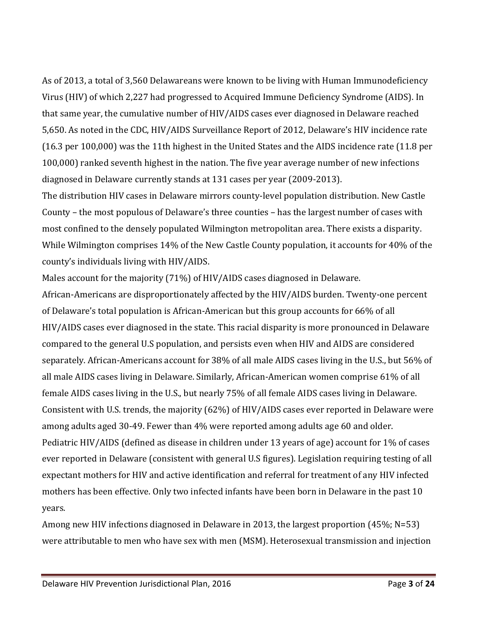As of 2013, a total of 3,560 Delawareans were known to be living with Human Immunodeficiency Virus (HIV) of which 2,227 had progressed to Acquired Immune Deficiency Syndrome (AIDS). In that same year, the cumulative number of HIV/AIDS cases ever diagnosed in Delaware reached 5,650. As noted in the CDC, HIV/AIDS Surveillance Report of 2012, Delaware's HIV incidence rate (16.3 per 100,000) was the 11th highest in the United States and the AIDS incidence rate (11.8 per 100,000) ranked seventh highest in the nation. The five year average number of new infections diagnosed in Delaware currently stands at 131 cases per year (2009-2013).

The distribution HIV cases in Delaware mirrors county-level population distribution. New Castle County – the most populous of Delaware's three counties – has the largest number of cases with most confined to the densely populated Wilmington metropolitan area. There exists a disparity. While Wilmington comprises 14% of the New Castle County population, it accounts for 40% of the county's individuals living with HIV/AIDS.

Males account for the majority (71%) of HIV/AIDS cases diagnosed in Delaware.

African-Americans are disproportionately affected by the HIV/AIDS burden. Twenty-one percent of Delaware's total population is African-American but this group accounts for 66% of all HIV/AIDS cases ever diagnosed in the state. This racial disparity is more pronounced in Delaware compared to the general U.S population, and persists even when HIV and AIDS are considered separately. African-Americans account for 38% of all male AIDS cases living in the U.S., but 56% of all male AIDS cases living in Delaware. Similarly, African-American women comprise 61% of all female AIDS cases living in the U.S., but nearly 75% of all female AIDS cases living in Delaware. Consistent with U.S. trends, the majority (62%) of HIV/AIDS cases ever reported in Delaware were among adults aged 30-49. Fewer than 4% were reported among adults age 60 and older. Pediatric HIV/AIDS (defined as disease in children under 13 years of age) account for 1% of cases ever reported in Delaware (consistent with general U.S figures). Legislation requiring testing of all expectant mothers for HIV and active identification and referral for treatment of any HIV infected mothers has been effective. Only two infected infants have been born in Delaware in the past 10 years.

Among new HIV infections diagnosed in Delaware in 2013, the largest proportion (45%; N=53) were attributable to men who have sex with men (MSM). Heterosexual transmission and injection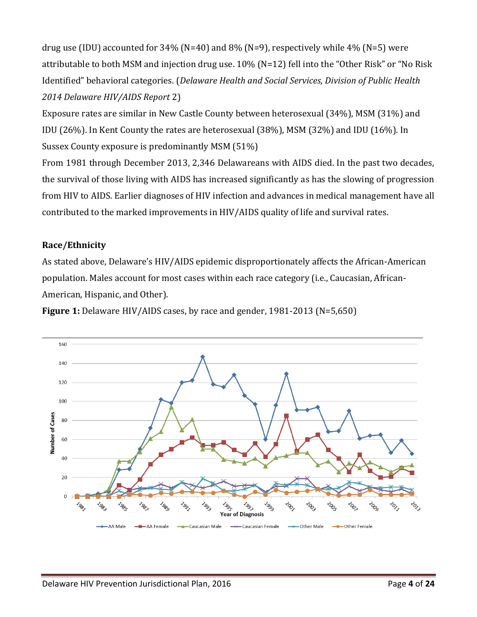drug use (IDU) accounted for  $34\%$  (N=40) and  $8\%$  (N=9), respectively while  $4\%$  (N=5) were attributable to both MSM and injection drug use. 10% (N=12) fell into the "Other Risk" or "No Risk Identified" behavioral categories. (*Delaware Health and Social Services, Division of Public Health 2014 Delaware HIV/AIDS Report* 2)

Exposure rates are similar in New Castle County between heterosexual (34%), MSM (31%) and IDU (26%). In Kent County the rates are heterosexual (38%), MSM (32%) and IDU (16%). In Sussex County exposure is predominantly MSM (51%)

From 1981 through December 2013, 2,346 Delawareans with AIDS died. In the past two decades, the survival of those living with AIDS has increased significantly as has the slowing of progression from HIV to AIDS. Earlier diagnoses of HIV infection and advances in medical management have all contributed to the marked improvements in HIV/AIDS quality of life and survival rates.

#### **Race/Ethnicity**

As stated above, Delaware's HIV/AIDS epidemic disproportionately affects the African-American population. Males account for most cases within each race category (i.e., Caucasian, African-American, Hispanic, and Other).

**Figure 1:** Delaware HIV/AIDS cases, by race and gender, 1981-2013 (N=5,650)

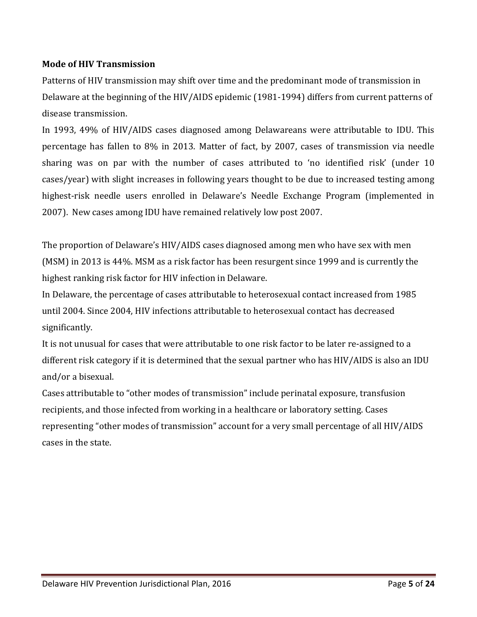## **Mode of HIV Transmission**

Patterns of HIV transmission may shift over time and the predominant mode of transmission in Delaware at the beginning of the HIV/AIDS epidemic (1981-1994) differs from current patterns of disease transmission.

In 1993, 49% of HIV/AIDS cases diagnosed among Delawareans were attributable to IDU. This percentage has fallen to 8% in 2013. Matter of fact, by 2007, cases of transmission via needle sharing was on par with the number of cases attributed to 'no identified risk' (under 10 cases/year) with slight increases in following years thought to be due to increased testing among highest-risk needle users enrolled in Delaware's Needle Exchange Program (implemented in 2007). New cases among IDU have remained relatively low post 2007.

The proportion of Delaware's HIV/AIDS cases diagnosed among men who have sex with men (MSM) in 2013 is 44%. MSM as a risk factor has been resurgent since 1999 and is currently the highest ranking risk factor for HIV infection in Delaware.

In Delaware, the percentage of cases attributable to heterosexual contact increased from 1985 until 2004. Since 2004, HIV infections attributable to heterosexual contact has decreased significantly.

It is not unusual for cases that were attributable to one risk factor to be later re-assigned to a different risk category if it is determined that the sexual partner who has HIV/AIDS is also an IDU and/or a bisexual.

Cases attributable to "other modes of transmission" include perinatal exposure, transfusion recipients, and those infected from working in a healthcare or laboratory setting. Cases representing "other modes of transmission" account for a very small percentage of all HIV/AIDS cases in the state.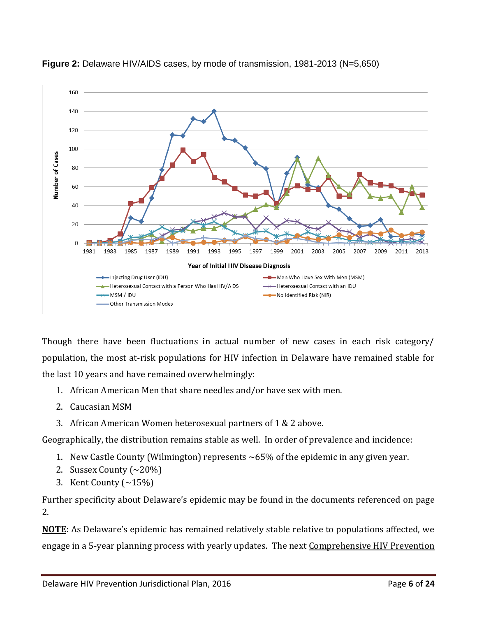



Though there have been fluctuations in actual number of new cases in each risk category/ population, the most at-risk populations for HIV infection in Delaware have remained stable for the last 10 years and have remained overwhelmingly:

- 1. African American Men that share needles and/or have sex with men.
- 2. Caucasian MSM
- 3. African American Women heterosexual partners of 1 & 2 above.

Geographically, the distribution remains stable as well. In order of prevalence and incidence:

- 1. New Castle County (Wilmington) represents ~65% of the epidemic in any given year.
- 2. Sussex County  $\left(\sim 20\% \right)$
- 3. Kent County  $(\sim 15\%)$

Further specificity about Delaware's epidemic may be found in the documents referenced on page 2.

**NOTE**: As Delaware's epidemic has remained relatively stable relative to populations affected, we engage in a 5-year planning process with yearly updates. The next Comprehensive HIV Prevention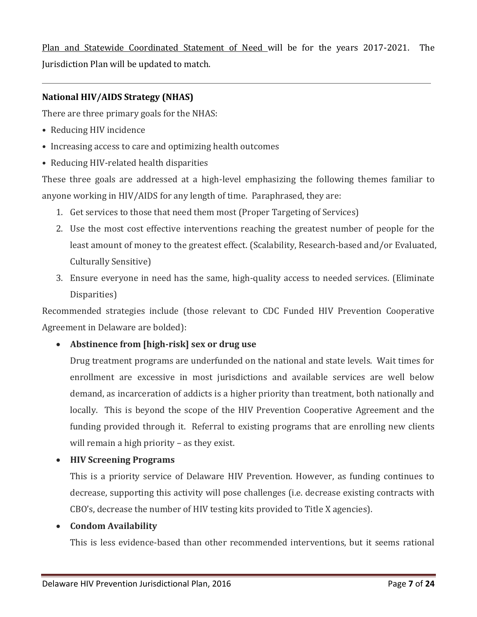Plan and Statewide Coordinated Statement of Need will be for the years 2017-2021. The Jurisdiction Plan will be updated to match.

#### **National HIV/AIDS Strategy (NHAS)**

There are three primary goals for the NHAS:

- Reducing HIV incidence
- Increasing access to care and optimizing health outcomes
- Reducing HIV-related health disparities

These three goals are addressed at a high-level emphasizing the following themes familiar to anyone working in HIV/AIDS for any length of time. Paraphrased, they are:

- 1. Get services to those that need them most (Proper Targeting of Services)
- 2. Use the most cost effective interventions reaching the greatest number of people for the least amount of money to the greatest effect. (Scalability, Research-based and/or Evaluated, Culturally Sensitive)
- 3. Ensure everyone in need has the same, high-quality access to needed services. (Eliminate Disparities)

Recommended strategies include (those relevant to CDC Funded HIV Prevention Cooperative Agreement in Delaware are bolded):

**Abstinence from [high-risk] sex or drug use** 

Drug treatment programs are underfunded on the national and state levels. Wait times for enrollment are excessive in most jurisdictions and available services are well below demand, as incarceration of addicts is a higher priority than treatment, both nationally and locally. This is beyond the scope of the HIV Prevention Cooperative Agreement and the funding provided through it. Referral to existing programs that are enrolling new clients will remain a high priority – as they exist.

**HIV Screening Programs** 

This is a priority service of Delaware HIV Prevention. However, as funding continues to decrease, supporting this activity will pose challenges (i.e. decrease existing contracts with CBO's, decrease the number of HIV testing kits provided to Title X agencies).

#### **Condom Availability**

This is less evidence-based than other recommended interventions, but it seems rational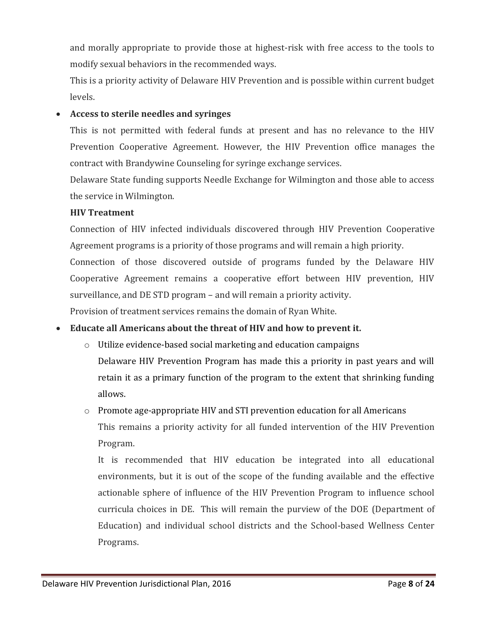and morally appropriate to provide those at highest-risk with free access to the tools to modify sexual behaviors in the recommended ways.

This is a priority activity of Delaware HIV Prevention and is possible within current budget levels.

## **Access to sterile needles and syringes**

This is not permitted with federal funds at present and has no relevance to the HIV Prevention Cooperative Agreement. However, the HIV Prevention office manages the contract with Brandywine Counseling for syringe exchange services.

Delaware State funding supports Needle Exchange for Wilmington and those able to access the service in Wilmington.

## **HIV Treatment**

Connection of HIV infected individuals discovered through HIV Prevention Cooperative Agreement programs is a priority of those programs and will remain a high priority.

Connection of those discovered outside of programs funded by the Delaware HIV Cooperative Agreement remains a cooperative effort between HIV prevention, HIV surveillance, and DE STD program – and will remain a priority activity.

Provision of treatment services remains the domain of Ryan White.

## **Educate all Americans about the threat of HIV and how to prevent it.**

o Utilize evidence-based social marketing and education campaigns Delaware HIV Prevention Program has made this a priority in past years and will retain it as a primary function of the program to the extent that shrinking funding allows.

# o Promote age-appropriate HIV and STI prevention education for all Americans

This remains a priority activity for all funded intervention of the HIV Prevention Program.

It is recommended that HIV education be integrated into all educational environments, but it is out of the scope of the funding available and the effective actionable sphere of influence of the HIV Prevention Program to influence school curricula choices in DE. This will remain the purview of the DOE (Department of Education) and individual school districts and the School-based Wellness Center Programs.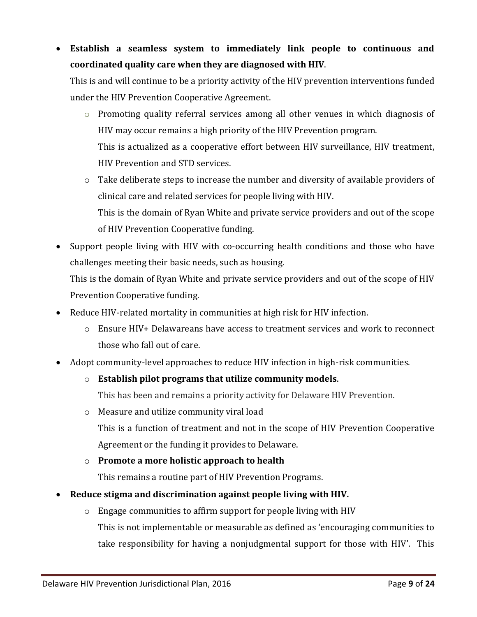**Establish a seamless system to immediately link people to continuous and coordinated quality care when they are diagnosed with HIV**.

This is and will continue to be a priority activity of the HIV prevention interventions funded under the HIV Prevention Cooperative Agreement.

- $\circ$  Promoting quality referral services among all other venues in which diagnosis of HIV may occur remains a high priority of the HIV Prevention program. This is actualized as a cooperative effort between HIV surveillance, HIV treatment, HIV Prevention and STD services.
- o Take deliberate steps to increase the number and diversity of available providers of clinical care and related services for people living with HIV. This is the domain of Ryan White and private service providers and out of the scope of HIV Prevention Cooperative funding.
- Support people living with HIV with co-occurring health conditions and those who have challenges meeting their basic needs, such as housing.

This is the domain of Ryan White and private service providers and out of the scope of HIV Prevention Cooperative funding.

- Reduce HIV-related mortality in communities at high risk for HIV infection.
	- o Ensure HIV+ Delawareans have access to treatment services and work to reconnect those who fall out of care.
- Adopt community-level approaches to reduce HIV infection in high-risk communities.
	- o **Establish pilot programs that utilize community models**.

This has been and remains a priority activity for Delaware HIV Prevention.

o Measure and utilize community viral load

This is a function of treatment and not in the scope of HIV Prevention Cooperative Agreement or the funding it provides to Delaware.

o **Promote a more holistic approach to health**

This remains a routine part of HIV Prevention Programs.

- **Reduce stigma and discrimination against people living with HIV.**
	- o Engage communities to affirm support for people living with HIV This is not implementable or measurable as defined as 'encouraging communities to take responsibility for having a nonjudgmental support for those with HIV'. This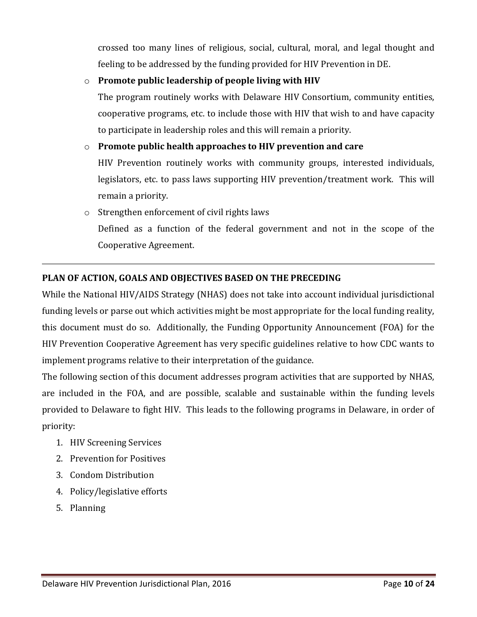crossed too many lines of religious, social, cultural, moral, and legal thought and feeling to be addressed by the funding provided for HIV Prevention in DE.

## o **Promote public leadership of people living with HIV**

The program routinely works with Delaware HIV Consortium, community entities, cooperative programs, etc. to include those with HIV that wish to and have capacity to participate in leadership roles and this will remain a priority.

## o **Promote public health approaches to HIV prevention and care**

HIV Prevention routinely works with community groups, interested individuals, legislators, etc. to pass laws supporting HIV prevention/treatment work. This will remain a priority.

o Strengthen enforcement of civil rights laws

Defined as a function of the federal government and not in the scope of the Cooperative Agreement.

#### **PLAN OF ACTION, GOALS AND OBJECTIVES BASED ON THE PRECEDING**

While the National HIV/AIDS Strategy (NHAS) does not take into account individual jurisdictional funding levels or parse out which activities might be most appropriate for the local funding reality, this document must do so. Additionally, the Funding Opportunity Announcement (FOA) for the HIV Prevention Cooperative Agreement has very specific guidelines relative to how CDC wants to implement programs relative to their interpretation of the guidance.

The following section of this document addresses program activities that are supported by NHAS, are included in the FOA, and are possible, scalable and sustainable within the funding levels provided to Delaware to fight HIV. This leads to the following programs in Delaware, in order of priority:

- 1. HIV Screening Services
- 2. Prevention for Positives
- 3. Condom Distribution
- 4. Policy/legislative efforts
- 5. Planning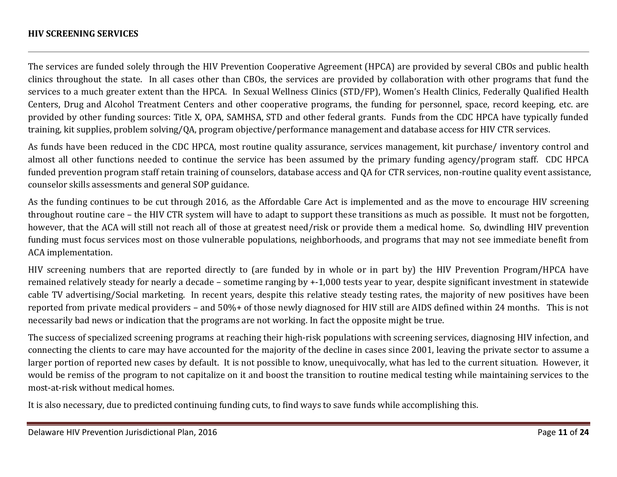#### **HIV SCREENING SERVICES**

The services are funded solely through the HIV Prevention Cooperative Agreement (HPCA) are provided by several CBOs and public health clinics throughout the state. In all cases other than CBOs, the services are provided by collaboration with other programs that fund the services to a much greater extent than the HPCA. In Sexual Wellness Clinics (STD/FP), Women's Health Clinics, Federally Qualified Health Centers, Drug and Alcohol Treatment Centers and other cooperative programs, the funding for personnel, space, record keeping, etc. are provided by other funding sources: Title X, OPA, SAMHSA, STD and other federal grants. Funds from the CDC HPCA have typically funded training, kit supplies, problem solving/QA, program objective/performance management and database access for HIV CTR services.

As funds have been reduced in the CDC HPCA, most routine quality assurance, services management, kit purchase/ inventory control and almost all other functions needed to continue the service has been assumed by the primary funding agency/program staff. CDC HPCA funded prevention program staff retain training of counselors, database access and QA for CTR services, non-routine quality event assistance, counselor skills assessments and general SOP guidance.

As the funding continues to be cut through 2016, as the Affordable Care Act is implemented and as the move to encourage HIV screening throughout routine care – the HIV CTR system will have to adapt to support these transitions as much as possible. It must not be forgotten, however, that the ACA will still not reach all of those at greatest need/risk or provide them a medical home. So, dwindling HIV prevention funding must focus services most on those vulnerable populations, neighborhoods, and programs that may not see immediate benefit from ACA implementation.

HIV screening numbers that are reported directly to (are funded by in whole or in part by) the HIV Prevention Program/HPCA have remained relatively steady for nearly a decade – sometime ranging by +-1,000 tests year to year, despite significant investment in statewide cable TV advertising/Social marketing. In recent years, despite this relative steady testing rates, the majority of new positives have been reported from private medical providers – and 50%+ of those newly diagnosed for HIV still are AIDS defined within 24 months. This is not necessarily bad news or indication that the programs are not working. In fact the opposite might be true.

The success of specialized screening programs at reaching their high-risk populations with screening services, diagnosing HIV infection, and connecting the clients to care may have accounted for the majority of the decline in cases since 2001, leaving the private sector to assume a larger portion of reported new cases by default. It is not possible to know, unequivocally, what has led to the current situation. However, it would be remiss of the program to not capitalize on it and boost the transition to routine medical testing while maintaining services to the most-at-risk without medical homes.

It is also necessary, due to predicted continuing funding cuts, to find ways to save funds while accomplishing this.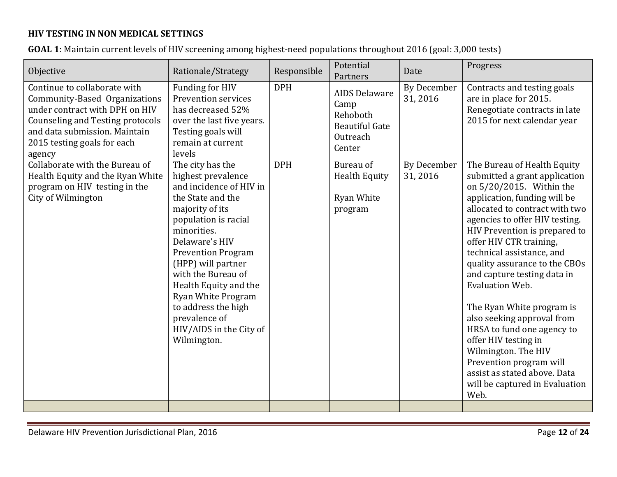# **HIV TESTING IN NON MEDICAL SETTINGS**

|  | <b>GOAL 1</b> : Maintain current levels of HIV screening among highest-need populations throughout 2016 (goal: 3,000 tests) |  |  |  |
|--|-----------------------------------------------------------------------------------------------------------------------------|--|--|--|
|--|-----------------------------------------------------------------------------------------------------------------------------|--|--|--|

| Objective                                                                                                                                                                                                            | Rationale/Strategy                                                                                                                                                                                                                                                                                                                                                                  | Responsible | Potential<br>Partners                                                                   | Date                          | Progress                                                                                                                                                                                                                                                                                                                                                                                                                                                                                                                                                                                                              |
|----------------------------------------------------------------------------------------------------------------------------------------------------------------------------------------------------------------------|-------------------------------------------------------------------------------------------------------------------------------------------------------------------------------------------------------------------------------------------------------------------------------------------------------------------------------------------------------------------------------------|-------------|-----------------------------------------------------------------------------------------|-------------------------------|-----------------------------------------------------------------------------------------------------------------------------------------------------------------------------------------------------------------------------------------------------------------------------------------------------------------------------------------------------------------------------------------------------------------------------------------------------------------------------------------------------------------------------------------------------------------------------------------------------------------------|
| Continue to collaborate with<br>Community-Based Organizations<br>under contract with DPH on HIV<br><b>Counseling and Testing protocols</b><br>and data submission. Maintain<br>2015 testing goals for each<br>agency | Funding for HIV<br>Prevention services<br>has decreased 52%<br>over the last five years.<br>Testing goals will<br>remain at current<br>levels                                                                                                                                                                                                                                       | <b>DPH</b>  | <b>AIDS Delaware</b><br>Camp<br>Rehoboth<br><b>Beautiful Gate</b><br>Outreach<br>Center | <b>By December</b><br>31,2016 | Contracts and testing goals<br>are in place for 2015.<br>Renegotiate contracts in late<br>2015 for next calendar year                                                                                                                                                                                                                                                                                                                                                                                                                                                                                                 |
| Collaborate with the Bureau of<br>Health Equity and the Ryan White<br>program on HIV testing in the<br>City of Wilmington                                                                                            | The city has the<br>highest prevalence<br>and incidence of HIV in<br>the State and the<br>majority of its<br>population is racial<br>minorities.<br>Delaware's HIV<br><b>Prevention Program</b><br>(HPP) will partner<br>with the Bureau of<br>Health Equity and the<br><b>Ryan White Program</b><br>to address the high<br>prevalence of<br>HIV/AIDS in the City of<br>Wilmington. | <b>DPH</b>  | Bureau of<br><b>Health Equity</b><br>Ryan White<br>program                              | By December<br>31,2016        | The Bureau of Health Equity<br>submitted a grant application<br>on 5/20/2015. Within the<br>application, funding will be<br>allocated to contract with two<br>agencies to offer HIV testing.<br>HIV Prevention is prepared to<br>offer HIV CTR training,<br>technical assistance, and<br>quality assurance to the CBOs<br>and capture testing data in<br>Evaluation Web.<br>The Ryan White program is<br>also seeking approval from<br>HRSA to fund one agency to<br>offer HIV testing in<br>Wilmington. The HIV<br>Prevention program will<br>assist as stated above. Data<br>will be captured in Evaluation<br>Web. |
|                                                                                                                                                                                                                      |                                                                                                                                                                                                                                                                                                                                                                                     |             |                                                                                         |                               |                                                                                                                                                                                                                                                                                                                                                                                                                                                                                                                                                                                                                       |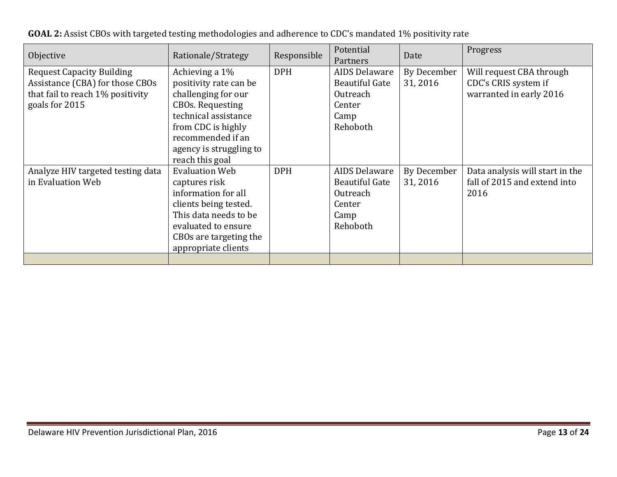| Objective                                                                                                                 | Rationale/Strategy                                                                                                                                                                                          | Responsible | Potential<br>Partners                                                            | Date                    | Progress                                                                    |
|---------------------------------------------------------------------------------------------------------------------------|-------------------------------------------------------------------------------------------------------------------------------------------------------------------------------------------------------------|-------------|----------------------------------------------------------------------------------|-------------------------|-----------------------------------------------------------------------------|
| <b>Request Capacity Building</b><br>Assistance (CBA) for those CBOs<br>that fail to reach 1% positivity<br>goals for 2015 | Achieving a 1%<br>positivity rate can be<br>challenging for our<br><b>CBOs. Requesting</b><br>technical assistance<br>from CDC is highly<br>recommended if an<br>agency is struggling to<br>reach this goal | <b>DPH</b>  | AIDS Delaware<br><b>Beautiful Gate</b><br>Outreach<br>Center<br>Camp<br>Rehoboth | By December<br>31, 2016 | Will request CBA through<br>CDC's CRIS system if<br>warranted in early 2016 |
| Analyze HIV targeted testing data<br>in Evaluation Web                                                                    | <b>Evaluation Web</b><br>captures risk<br>information for all<br>clients being tested.<br>This data needs to be<br>evaluated to ensure<br>CBOs are targeting the<br>appropriate clients                     | <b>DPH</b>  | AIDS Delaware<br>Beautiful Gate<br>Outreach<br>Center<br>Camp<br>Rehoboth        | By December<br>31, 2016 | Data analysis will start in the<br>fall of 2015 and extend into<br>2016     |

| GOAL 2: Assist CBOs with targeted testing methodologies and adherence to CDC's mandated 1% positivity rate |  |  |
|------------------------------------------------------------------------------------------------------------|--|--|
|                                                                                                            |  |  |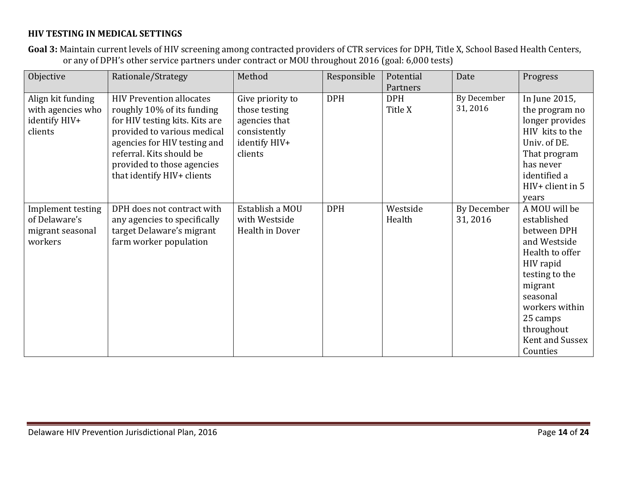#### **HIV TESTING IN MEDICAL SETTINGS**

**Goal 3:** Maintain current levels of HIV screening among contracted providers of CTR services for DPH, Title X, School Based Health Centers, or any of DPH's other service partners under contract or MOU throughout 2016 (goal: 6,000 tests)

| Objective                                                          | Rationale/Strategy                                                                                                                                                                                                                                     | Method                                                                                         | Responsible | Potential<br>Partners | Date                   | Progress                                                                                                                                                                                                        |
|--------------------------------------------------------------------|--------------------------------------------------------------------------------------------------------------------------------------------------------------------------------------------------------------------------------------------------------|------------------------------------------------------------------------------------------------|-------------|-----------------------|------------------------|-----------------------------------------------------------------------------------------------------------------------------------------------------------------------------------------------------------------|
| Align kit funding<br>with agencies who<br>identify HIV+<br>clients | <b>HIV Prevention allocates</b><br>roughly 10% of its funding<br>for HIV testing kits. Kits are<br>provided to various medical<br>agencies for HIV testing and<br>referral. Kits should be<br>provided to those agencies<br>that identify HIV+ clients | Give priority to<br>those testing<br>agencies that<br>consistently<br>identify HIV+<br>clients | <b>DPH</b>  | <b>DPH</b><br>Title X | By December<br>31,2016 | In June 2015,<br>the program no<br>longer provides<br>HIV kits to the<br>Univ. of DE.<br>That program<br>has never<br>identified a<br>$HIV+$ client in 5<br>years                                               |
| Implement testing<br>of Delaware's<br>migrant seasonal<br>workers  | DPH does not contract with<br>any agencies to specifically<br>target Delaware's migrant<br>farm worker population                                                                                                                                      | Establish a MOU<br>with Westside<br>Health in Dover                                            | <b>DPH</b>  | Westside<br>Health    | By December<br>31,2016 | A MOU will be<br>established<br>between DPH<br>and Westside<br>Health to offer<br>HIV rapid<br>testing to the<br>migrant<br>seasonal<br>workers within<br>25 camps<br>throughout<br>Kent and Sussex<br>Counties |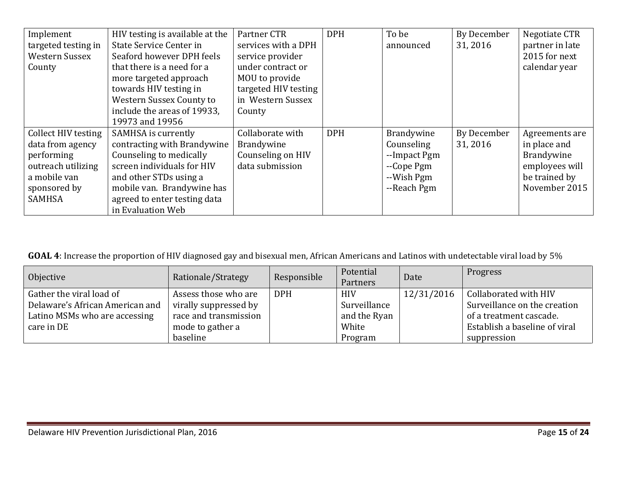| Implement           | HIV testing is available at the | Partner CTR          | <b>DPH</b> | To be        | By December | Negotiate CTR   |
|---------------------|---------------------------------|----------------------|------------|--------------|-------------|-----------------|
| targeted testing in | State Service Center in         | services with a DPH  |            | announced    | 31, 2016    | partner in late |
| Western Sussex      | Seaford however DPH feels       | service provider     |            |              |             | 2015 for next   |
| County              | that there is a need for a      | under contract or    |            |              |             | calendar year   |
|                     | more targeted approach          | MOU to provide       |            |              |             |                 |
|                     | towards HIV testing in          | targeted HIV testing |            |              |             |                 |
|                     | Western Sussex County to        | in Western Sussex    |            |              |             |                 |
|                     | include the areas of 19933,     | County               |            |              |             |                 |
|                     | 19973 and 19956                 |                      |            |              |             |                 |
| Collect HIV testing | SAMHSA is currently             | Collaborate with     | <b>DPH</b> | Brandywine   | By December | Agreements are  |
| data from agency    | contracting with Brandywine     | Brandywine           |            | Counseling   | 31, 2016    | in place and    |
| performing          | Counseling to medically         | Counseling on HIV    |            | --Impact Pgm |             | Brandywine      |
| outreach utilizing  | screen individuals for HIV      | data submission      |            | --Cope Pgm   |             | employees will  |
| a mobile van        | and other STDs using a          |                      |            | --Wish Pgm   |             | be trained by   |
| sponsored by        | mobile van. Brandywine has      |                      |            | --Reach Pgm  |             | November 2015   |
| <b>SAMHSA</b>       | agreed to enter testing data    |                      |            |              |             |                 |
|                     | in Evaluation Web               |                      |            |              |             |                 |

**GOAL 4**: Increase the proportion of HIV diagnosed gay and bisexual men, African Americans and Latinos with undetectable viral load by 5%

| Objective                       | Rationale/Strategy    | Responsible | Potential<br>Partners | Date       | Progress                      |
|---------------------------------|-----------------------|-------------|-----------------------|------------|-------------------------------|
| Gather the viral load of        | Assess those who are  | <b>DPH</b>  | <b>HIV</b>            | 12/31/2016 | Collaborated with HIV         |
| Delaware's African American and | virally suppressed by |             | Surveillance          |            | Surveillance on the creation  |
| Latino MSMs who are accessing   | race and transmission |             | and the Ryan          |            | of a treatment cascade.       |
| care in DE                      | mode to gather a      |             | White                 |            | Establish a baseline of viral |
|                                 | baseline              |             | Program               |            | suppression                   |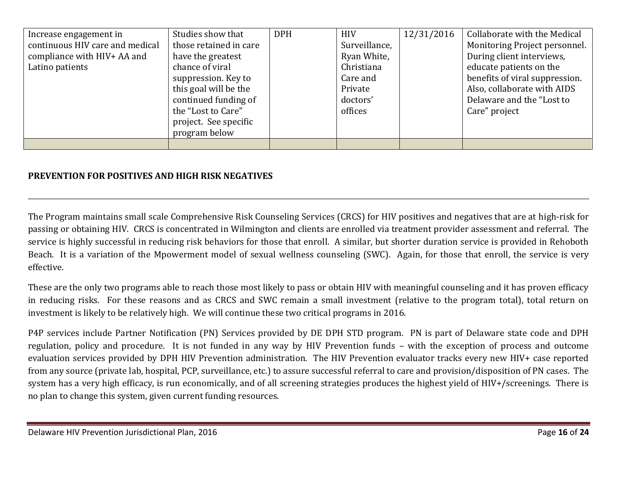| Increase engagement in          | Studies show that      | <b>DPH</b> | <b>HIV</b>    | 12/31/2016 | Collaborate with the Medical   |
|---------------------------------|------------------------|------------|---------------|------------|--------------------------------|
| continuous HIV care and medical | those retained in care |            | Surveillance, |            | Monitoring Project personnel.  |
| compliance with HIV+ AA and     | have the greatest      |            | Ryan White,   |            | During client interviews,      |
| Latino patients                 | chance of viral        |            | Christiana    |            | educate patients on the        |
|                                 | suppression. Key to    |            | Care and      |            | benefits of viral suppression. |
|                                 | this goal will be the  |            | Private       |            | Also, collaborate with AIDS    |
|                                 | continued funding of   |            | doctors'      |            | Delaware and the "Lost to      |
|                                 | the "Lost to Care"     |            | offices       |            | Care" project                  |
|                                 | project. See specific  |            |               |            |                                |
|                                 | program below          |            |               |            |                                |
|                                 |                        |            |               |            |                                |

## **PREVENTION FOR POSITIVES AND HIGH RISK NEGATIVES**

The Program maintains small scale Comprehensive Risk Counseling Services (CRCS) for HIV positives and negatives that are at high-risk for passing or obtaining HIV. CRCS is concentrated in Wilmington and clients are enrolled via treatment provider assessment and referral. The service is highly successful in reducing risk behaviors for those that enroll. A similar, but shorter duration service is provided in Rehoboth Beach. It is a variation of the Mpowerment model of sexual wellness counseling (SWC). Again, for those that enroll, the service is very effective.

These are the only two programs able to reach those most likely to pass or obtain HIV with meaningful counseling and it has proven efficacy in reducing risks. For these reasons and as CRCS and SWC remain a small investment (relative to the program total), total return on investment is likely to be relatively high. We will continue these two critical programs in 2016.

P4P services include Partner Notification (PN) Services provided by DE DPH STD program. PN is part of Delaware state code and DPH regulation, policy and procedure. It is not funded in any way by HIV Prevention funds – with the exception of process and outcome evaluation services provided by DPH HIV Prevention administration. The HIV Prevention evaluator tracks every new HIV+ case reported from any source (private lab, hospital, PCP, surveillance, etc.) to assure successful referral to care and provision/disposition of PN cases. The system has a very high efficacy, is run economically, and of all screening strategies produces the highest yield of HIV+/screenings. There is no plan to change this system, given current funding resources.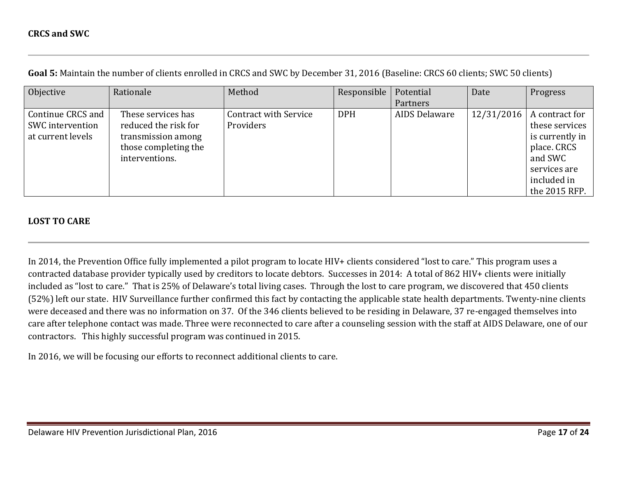| Objective         | Rationale            | Method                       | Responsible | Potential     | Date       | Progress        |
|-------------------|----------------------|------------------------------|-------------|---------------|------------|-----------------|
|                   |                      |                              |             | Partners      |            |                 |
| Continue CRCS and | These services has   | <b>Contract with Service</b> | <b>DPH</b>  | AIDS Delaware | 12/31/2016 | A contract for  |
| SWC intervention  | reduced the risk for | Providers                    |             |               |            | these services  |
| at current levels | transmission among   |                              |             |               |            | is currently in |
|                   | those completing the |                              |             |               |            | place. CRCS     |
|                   | interventions.       |                              |             |               |            | and SWC         |
|                   |                      |                              |             |               |            | services are    |
|                   |                      |                              |             |               |            | included in     |
|                   |                      |                              |             |               |            | the 2015 RFP.   |

**Goal 5:** Maintain the number of clients enrolled in CRCS and SWC by December 31, 2016 (Baseline: CRCS 60 clients; SWC 50 clients)

#### **LOST TO CARE**

In 2014, the Prevention Office fully implemented a pilot program to locate HIV+ clients considered "lost to care." This program uses a contracted database provider typically used by creditors to locate debtors. Successes in 2014: A total of 862 HIV+ clients were initially included as "lost to care." That is 25% of Delaware's total living cases. Through the lost to care program, we discovered that 450 clients (52%) left our state. HIV Surveillance further confirmed this fact by contacting the applicable state health departments. Twenty-nine clients were deceased and there was no information on 37. Of the 346 clients believed to be residing in Delaware, 37 re-engaged themselves into care after telephone contact was made. Three were reconnected to care after a counseling session with the staff at AIDS Delaware, one of our contractors. This highly successful program was continued in 2015.

In 2016, we will be focusing our efforts to reconnect additional clients to care.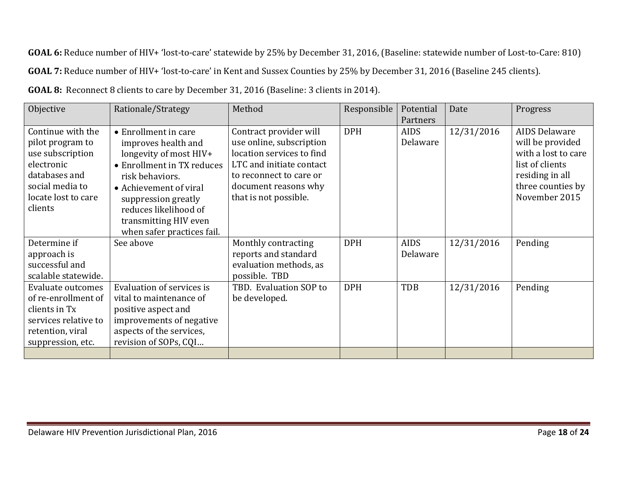**GOAL 6:** Reduce number of HIV+ 'lost-to-care' statewide by 25% by December 31, 2016, (Baseline: statewide number of Lost-to-Care: 810) **GOAL 7:** Reduce number of HIV+ 'lost-to-care' in Kent and Sussex Counties by 25% by December 31, 2016 (Baseline 245 clients).

**GOAL 8:** Reconnect 8 clients to care by December 31, 2016 (Baseline: 3 clients in 2014).

| Objective                                                                                                                  | Rationale/Strategy                                                                                                                                           | Method                                                                                                      | Responsible | Potential               | Date       | Progress                                                                           |
|----------------------------------------------------------------------------------------------------------------------------|--------------------------------------------------------------------------------------------------------------------------------------------------------------|-------------------------------------------------------------------------------------------------------------|-------------|-------------------------|------------|------------------------------------------------------------------------------------|
|                                                                                                                            |                                                                                                                                                              |                                                                                                             |             | Partners                |            |                                                                                    |
| Continue with the<br>pilot program to<br>use subscription<br>electronic                                                    | • Enrollment in care<br>improves health and<br>longevity of most HIV+<br>• Enrollment in TX reduces                                                          | Contract provider will<br>use online, subscription<br>location services to find<br>LTC and initiate contact | <b>DPH</b>  | <b>AIDS</b><br>Delaware | 12/31/2016 | <b>AIDS Delaware</b><br>will be provided<br>with a lost to care<br>list of clients |
| databases and<br>social media to<br>locate lost to care<br>clients                                                         | risk behaviors.<br>• Achievement of viral<br>suppression greatly<br>reduces likelihood of<br>transmitting HIV even<br>when safer practices fail.             | to reconnect to care or<br>document reasons why<br>that is not possible.                                    |             |                         |            | residing in all<br>three counties by<br>November 2015                              |
| Determine if<br>approach is<br>successful and<br>scalable statewide.                                                       | See above                                                                                                                                                    | Monthly contracting<br>reports and standard<br>evaluation methods, as<br>possible. TBD                      | <b>DPH</b>  | <b>AIDS</b><br>Delaware | 12/31/2016 | Pending                                                                            |
| Evaluate outcomes<br>of re-enrollment of<br>clients in Tx<br>services relative to<br>retention, viral<br>suppression, etc. | Evaluation of services is<br>vital to maintenance of<br>positive aspect and<br>improvements of negative<br>aspects of the services,<br>revision of SOPs, CQI | TBD. Evaluation SOP to<br>be developed.                                                                     | <b>DPH</b>  | <b>TDB</b>              | 12/31/2016 | Pending                                                                            |
|                                                                                                                            |                                                                                                                                                              |                                                                                                             |             |                         |            |                                                                                    |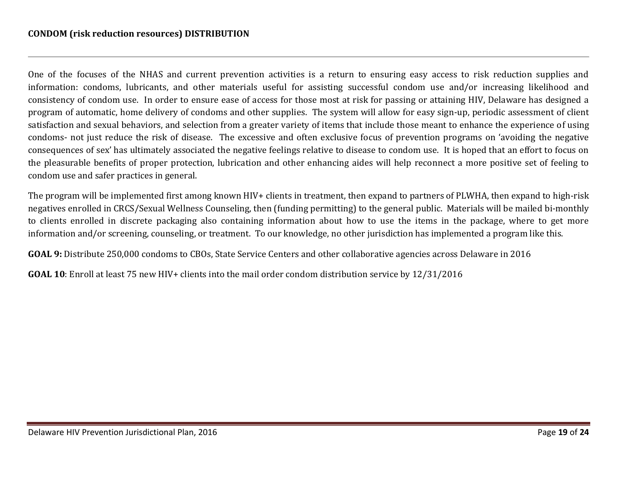One of the focuses of the NHAS and current prevention activities is a return to ensuring easy access to risk reduction supplies and information: condoms, lubricants, and other materials useful for assisting successful condom use and/or increasing likelihood and consistency of condom use. In order to ensure ease of access for those most at risk for passing or attaining HIV, Delaware has designed a program of automatic, home delivery of condoms and other supplies. The system will allow for easy sign-up, periodic assessment of client satisfaction and sexual behaviors, and selection from a greater variety of items that include those meant to enhance the experience of using condoms- not just reduce the risk of disease. The excessive and often exclusive focus of prevention programs on 'avoiding the negative consequences of sex' has ultimately associated the negative feelings relative to disease to condom use. It is hoped that an effort to focus on the pleasurable benefits of proper protection, lubrication and other enhancing aides will help reconnect a more positive set of feeling to condom use and safer practices in general.

The program will be implemented first among known HIV+ clients in treatment, then expand to partners of PLWHA, then expand to high-risk negatives enrolled in CRCS/Sexual Wellness Counseling, then (funding permitting) to the general public. Materials will be mailed bi-monthly to clients enrolled in discrete packaging also containing information about how to use the items in the package, where to get more information and/or screening, counseling, or treatment. To our knowledge, no other jurisdiction has implemented a program like this.

**GOAL 9:** Distribute 250,000 condoms to CBOs, State Service Centers and other collaborative agencies across Delaware in 2016

**GOAL 10**: Enroll at least 75 new HIV+ clients into the mail order condom distribution service by 12/31/2016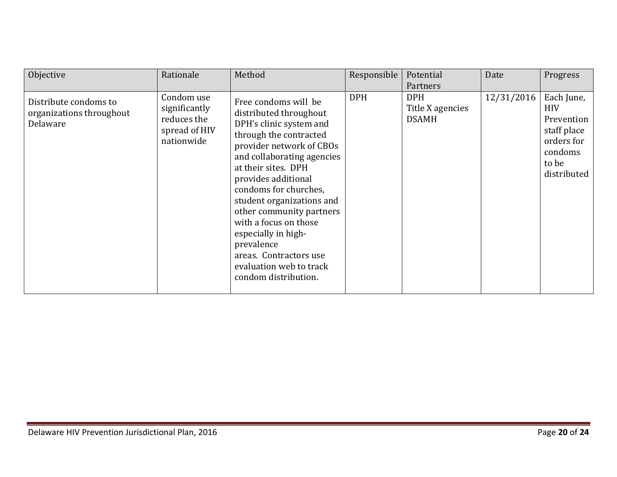| Objective                                                     | Rationale                                                                 | Method                                                                                                                                                                                                                                                                                                                                                                                                                                   | Responsible | Potential<br>Partners                          | Date       | Progress                                                                                               |
|---------------------------------------------------------------|---------------------------------------------------------------------------|------------------------------------------------------------------------------------------------------------------------------------------------------------------------------------------------------------------------------------------------------------------------------------------------------------------------------------------------------------------------------------------------------------------------------------------|-------------|------------------------------------------------|------------|--------------------------------------------------------------------------------------------------------|
| Distribute condoms to<br>organizations throughout<br>Delaware | Condom use<br>significantly<br>reduces the<br>spread of HIV<br>nationwide | Free condoms will be<br>distributed throughout<br>DPH's clinic system and<br>through the contracted<br>provider network of CBOs<br>and collaborating agencies<br>at their sites. DPH<br>provides additional<br>condoms for churches,<br>student organizations and<br>other community partners<br>with a focus on those<br>especially in high-<br>prevalence<br>areas. Contractors use<br>evaluation web to track<br>condom distribution. | <b>DPH</b>  | <b>DPH</b><br>Title X agencies<br><b>DSAMH</b> | 12/31/2016 | Each June,<br><b>HIV</b><br>Prevention<br>staff place<br>orders for<br>condoms<br>to be<br>distributed |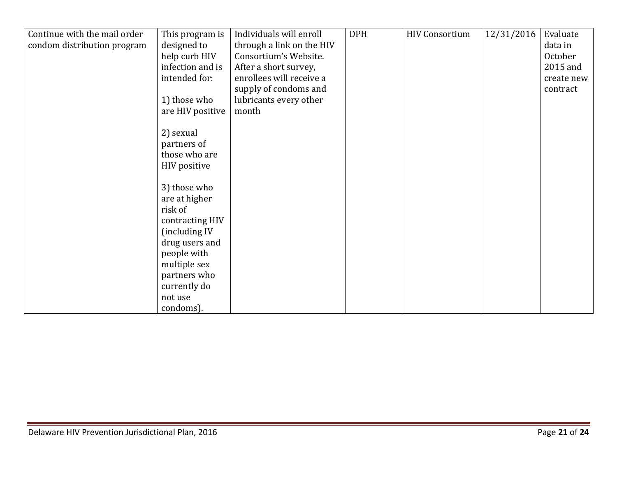| Continue with the mail order | This program is  | Individuals will enroll   | <b>DPH</b> | <b>HIV Consortium</b> | 12/31/2016 | Evaluate   |
|------------------------------|------------------|---------------------------|------------|-----------------------|------------|------------|
| condom distribution program  | designed to      | through a link on the HIV |            |                       |            | data in    |
|                              | help curb HIV    | Consortium's Website.     |            |                       |            | October    |
|                              | infection and is | After a short survey,     |            |                       |            | 2015 and   |
|                              | intended for:    | enrollees will receive a  |            |                       |            | create new |
|                              |                  | supply of condoms and     |            |                       |            | contract   |
|                              | 1) those who     | lubricants every other    |            |                       |            |            |
|                              | are HIV positive | month                     |            |                       |            |            |
|                              |                  |                           |            |                       |            |            |
|                              | 2) sexual        |                           |            |                       |            |            |
|                              | partners of      |                           |            |                       |            |            |
|                              | those who are    |                           |            |                       |            |            |
|                              | HIV positive     |                           |            |                       |            |            |
|                              |                  |                           |            |                       |            |            |
|                              | 3) those who     |                           |            |                       |            |            |
|                              | are at higher    |                           |            |                       |            |            |
|                              | risk of          |                           |            |                       |            |            |
|                              | contracting HIV  |                           |            |                       |            |            |
|                              | (including IV    |                           |            |                       |            |            |
|                              | drug users and   |                           |            |                       |            |            |
|                              | people with      |                           |            |                       |            |            |
|                              | multiple sex     |                           |            |                       |            |            |
|                              | partners who     |                           |            |                       |            |            |
|                              | currently do     |                           |            |                       |            |            |
|                              | not use          |                           |            |                       |            |            |
|                              | condoms).        |                           |            |                       |            |            |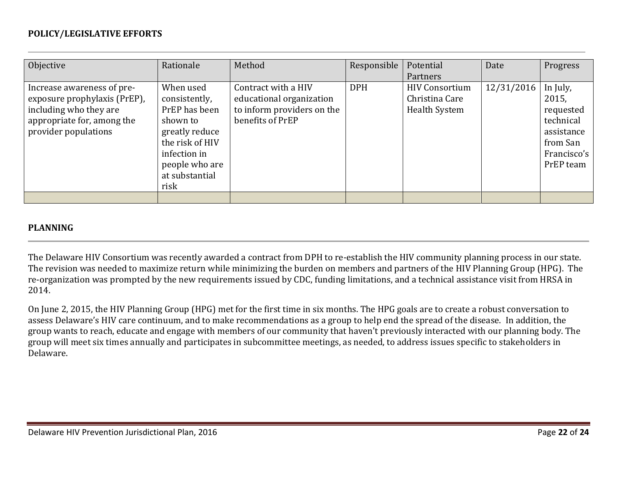#### **POLICY/LEGISLATIVE EFFORTS**

| Objective                                                                                                                                  | Rationale                                                                                                                                                | Method                                                                                            | Responsible | Potential<br>Partners                                           | Date       | Progress                                                                                          |
|--------------------------------------------------------------------------------------------------------------------------------------------|----------------------------------------------------------------------------------------------------------------------------------------------------------|---------------------------------------------------------------------------------------------------|-------------|-----------------------------------------------------------------|------------|---------------------------------------------------------------------------------------------------|
| Increase awareness of pre-<br>exposure prophylaxis (PrEP),<br>including who they are<br>appropriate for, among the<br>provider populations | When used<br>consistently,<br>PrEP has been<br>shown to<br>greatly reduce<br>the risk of HIV<br>infection in<br>people who are<br>at substantial<br>risk | Contract with a HIV<br>educational organization<br>to inform providers on the<br>benefits of PrEP | <b>DPH</b>  | <b>HIV Consortium</b><br>Christina Care<br><b>Health System</b> | 12/31/2016 | In July,<br>2015,<br>requested<br>technical<br>assistance<br>from San<br>Francisco's<br>PrEP team |
|                                                                                                                                            |                                                                                                                                                          |                                                                                                   |             |                                                                 |            |                                                                                                   |

#### **PLANNING**

The Delaware HIV Consortium was recently awarded a contract from DPH to re-establish the HIV community planning process in our state. The revision was needed to maximize return while minimizing the burden on members and partners of the HIV Planning Group (HPG). The re-organization was prompted by the new requirements issued by CDC, funding limitations, and a technical assistance visit from HRSA in 2014.

On June 2, 2015, the HIV Planning Group (HPG) met for the first time in six months. The HPG goals are to create a robust conversation to assess Delaware's HIV care continuum, and to make recommendations as a group to help end the spread of the disease. In addition, the group wants to reach, educate and engage with members of our community that haven't previously interacted with our planning body. The group will meet six times annually and participates in subcommittee meetings, as needed, to address issues specific to stakeholders in Delaware.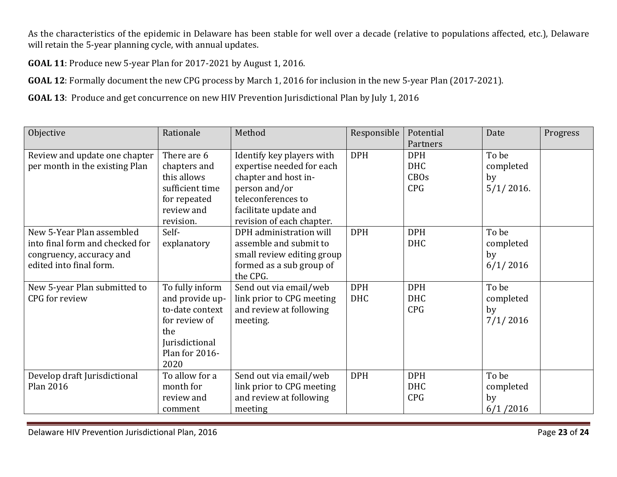As the characteristics of the epidemic in Delaware has been stable for well over a decade (relative to populations affected, etc.), Delaware will retain the 5-year planning cycle, with annual updates.

**GOAL 11**: Produce new 5-year Plan for 2017-2021 by August 1, 2016.

**GOAL 12**: Formally document the new CPG process by March 1, 2016 for inclusion in the new 5-year Plan (2017-2021).

**GOAL 13**: Produce and get concurrence on new HIV Prevention Jurisdictional Plan by July 1, 2016

| Objective                       | Rationale       | Method                     | Responsible | Potential   | Date         | Progress |
|---------------------------------|-----------------|----------------------------|-------------|-------------|--------------|----------|
|                                 |                 |                            |             | Partners    |              |          |
| Review and update one chapter   | There are 6     | Identify key players with  | <b>DPH</b>  | <b>DPH</b>  | To be        |          |
| per month in the existing Plan  | chapters and    | expertise needed for each  |             | <b>DHC</b>  | completed    |          |
|                                 | this allows     | chapter and host in-       |             | <b>CBOs</b> | by           |          |
|                                 | sufficient time | person and/or              |             | <b>CPG</b>  | $5/1/2016$ . |          |
|                                 | for repeated    | teleconferences to         |             |             |              |          |
|                                 | review and      | facilitate update and      |             |             |              |          |
|                                 | revision.       | revision of each chapter.  |             |             |              |          |
| New 5-Year Plan assembled       | Self-           | DPH administration will    | <b>DPH</b>  | <b>DPH</b>  | To be        |          |
| into final form and checked for | explanatory     | assemble and submit to     |             | <b>DHC</b>  | completed    |          |
| congruency, accuracy and        |                 | small review editing group |             |             | by           |          |
| edited into final form.         |                 | formed as a sub group of   |             |             | 6/1/2016     |          |
|                                 |                 | the CPG.                   |             |             |              |          |
| New 5-year Plan submitted to    | To fully inform | Send out via email/web     | <b>DPH</b>  | <b>DPH</b>  | To be        |          |
| CPG for review                  | and provide up- | link prior to CPG meeting  | <b>DHC</b>  | <b>DHC</b>  | completed    |          |
|                                 | to-date context | and review at following    |             | <b>CPG</b>  | by           |          |
|                                 | for review of   | meeting.                   |             |             | 7/1/2016     |          |
|                                 | the             |                            |             |             |              |          |
|                                 | Jurisdictional  |                            |             |             |              |          |
|                                 | Plan for 2016-  |                            |             |             |              |          |
|                                 | 2020            |                            |             |             |              |          |
| Develop draft Jurisdictional    | To allow for a  | Send out via email/web     | <b>DPH</b>  | <b>DPH</b>  | To be        |          |
| Plan 2016                       | month for       | link prior to CPG meeting  |             | <b>DHC</b>  | completed    |          |
|                                 | review and      | and review at following    |             | <b>CPG</b>  | by           |          |
|                                 | comment         | meeting                    |             |             | 6/1/2016     |          |